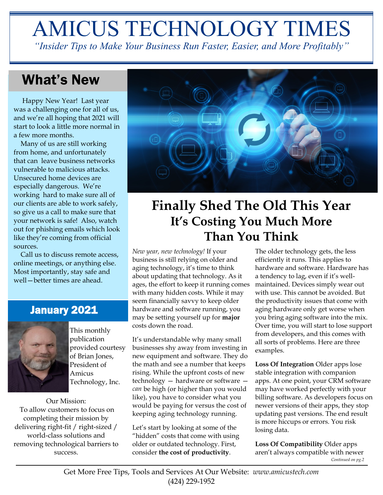# AMICUS TECHNOLOGY TIMES

*"Insider Tips to Make Your Business Run Faster, Easier, and More Profitably"*

# What's New

 Happy New Year! Last year was a challenging one for all of us, and we're all hoping that 2021 will start to look a little more normal in a few more months.

 Many of us are still working from home, and unfortunately that can leave business networks vulnerable to malicious attacks. Unsecured home devices are especially dangerous. We're working hard to make sure all of our clients are able to work safely, so give us a call to make sure that your network is safe! Also, watch out for phishing emails which look like they're coming from official sources.

 Call us to discuss remote access, online meetings, or anything else. Most importantly, stay safe and well—better times are ahead.

## January 2021



This monthly publication provided courtesy of Brian Jones, President of Amicus Technology, Inc.

Our Mission: To allow customers to focus on completing their mission by delivering right-fit / right-sized / world-class solutions and removing technological barriers to success.



# **Finally Shed The Old This Year It's Costing You Much More Than You Think**

*New year, new technology!* If your business is still relying on older and aging technology, it's time to think about updating that technology. As it ages, the effort to keep it running comes with many hidden costs. While it may seem financially savvy to keep older hardware and software running, you may be setting yourself up for **major** costs down the road.

It's understandable why many small businesses shy away from investing in new equipment and software. They do the math and see a number that keeps rising. While the upfront costs of new technology — hardware or software *can* be high (or higher than you would like), you have to consider what you would be paying for versus the cost of keeping aging technology running.

Let's start by looking at some of the "hidden" costs that come with using older or outdated technology. First, consider **the cost of productivity**.

The older technology gets, the less efficiently it runs. This applies to hardware and software. Hardware has a tendency to lag, even if it's wellmaintained. Devices simply wear out with use. This cannot be avoided. But the productivity issues that come with aging hardware only get worse when you bring aging software into the mix. Over time, you will start to lose support from developers, and this comes with all sorts of problems. Here are three examples.

**Loss Of Integration** Older apps lose stable integration with companion apps. At one point, your CRM software may have worked perfectly with your billing software. As developers focus on newer versions of their apps, they stop updating past versions. The end result is more hiccups or errors. You risk losing data.

**Loss Of Compatibility** Older apps aren't always compatible with newer *Continued on pg.2*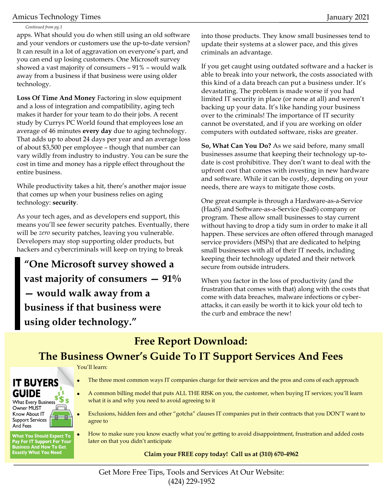#### Amicus Technology Times January 2021

#### *Continued from pg.1*

apps. What should you do when still using an old software and your vendors or customers use the up-to-date version? It can result in a lot of aggravation on everyone's part, and you can end up losing customers. One Microsoft survey showed a vast majority of consumers – 91% – would walk away from a business if that business were using older technology.

**Loss Of Time And Money** Factoring in slow equipment and a loss of integration and compatibility, aging tech makes it harder for your team to do their jobs. A recent study by Currys PC World found that employees lose an average of 46 minutes **every day** due to aging technology. That adds up to about 24 days per year and an average loss of about \$3,500 per employee – though that number can vary wildly from industry to industry. You can be sure the cost in time and money has a ripple effect throughout the entire business.

While productivity takes a hit, there's another major issue that comes up when your business relies on aging technology: **security**.

As your tech ages, and as developers end support, this means you'll see fewer security patches. Eventually, there will be *zero* security patches, leaving you vulnerable. Developers may stop supporting older products, but hackers and cybercriminals will keep on trying to break

**"One Microsoft survey showed a vast majority of consumers — 91% — would walk away from a business if that business were using older technology."**

into those products. They know small businesses tend to update their systems at a slower pace, and this gives criminals an advantage.

If you get caught using outdated software and a hacker is able to break into your network, the costs associated with this kind of a data breach can put a business under. It's devastating. The problem is made worse if you had limited IT security in place (or none at all) and weren't backing up your data. It's like handing your business over to the criminals! The importance of IT security cannot be overstated, and if you are working on older computers with outdated software, risks are greater.

**So, What Can You Do?** As we said before, many small businesses assume that keeping their technology up-todate is cost prohibitive. They don't want to deal with the upfront cost that comes with investing in new hardware and software. While it can be costly, depending on your needs, there are ways to mitigate those costs.

One great example is through a Hardware-as-a-Service (HaaS) and Software-as-a-Service (SaaS) company or program. These allow small businesses to stay current without having to drop a tidy sum in order to make it all happen. These services are often offered through managed service providers (MSPs) that are dedicated to helping small businesses with all of their IT needs, including keeping their technology updated and their network secure from outside intruders.

When you factor in the loss of productivity (and the frustration that comes with that) along with the costs that come with data breaches, malware infections or cyberattacks, it can easily be worth it to kick your old tech to the curb and embrace the new!

**Free Report Download:** 

## **The Business Owner's Guide To IT Support Services And Fees**

You'll learn:

### **IT BUYERS** GUIDE

 $\frac{\mathfrak{s}^{\mathfrak{s}}\mathfrak{s}}{s}$ What Every Business F Owner MUST Know About IT **Support Services** And Fees

**What You Should Expect To** Pay For IT Support For Your<br>Business And How To Get **Exactly What You Need** 

- The three most common ways IT companies charge for their services and the pros and cons of each approach
- A common billing model that puts ALL THE RISK on you, the customer, when buying IT services; you'll learn what it is and why you need to avoid agreeing to it
- Exclusions, hidden fees and other "gotcha" clauses IT companies put in their contracts that you DON'T want to agree to
- How to make sure you know exactly what you're getting to avoid disappointment, frustration and added costs later on that you didn't anticipate

#### **Claim your FREE copy today! Call us at (310) 670-4962**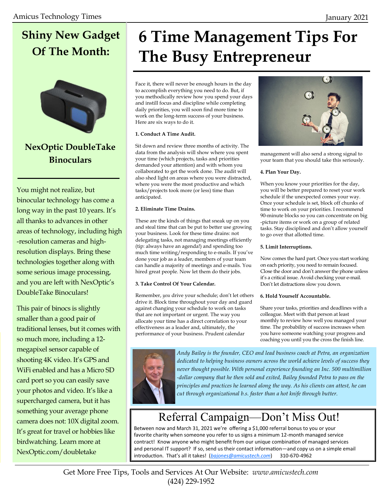# **Shiny New Gadget Of The Month:**



### **NexOptic DoubleTake Binoculars**

You might not realize, but binocular technology has come a long way in the past 10 years. It's all thanks to advances in other areas of technology, including high -resolution cameras and highresolution displays. Bring these technologies together along with some serious image processing, and you are left with NexOptic's DoubleTake Binoculars!

This pair of binocs is slightly smaller than a good pair of traditional lenses, but it comes with so much more, including a 12 megapixel sensor capable of shooting 4K video. It's GPS and WiFi enabled and has a Micro SD card port so you can easily save your photos and video. It's like a supercharged camera, but it has something your average phone camera does not: 10X digital zoom. It's great for travel or hobbies like birdwatching. Learn more at NexOptic.com/doubletake

# **6 Time Management Tips For The Busy Entrepreneur**

Face it, there will never be enough hours in the day to accomplish everything you need to do. But, if you methodically review how you spend your days and instill focus and discipline while completing daily priorities, you will soon find more time to work on the long-term success of your business. Here are six ways to do it.

#### **1. Conduct A Time Audit.**

Sit down and review three months of activity. The data from the analysis will show where you spent your time (which projects, tasks and priorities demanded your attention) and with whom you collaborated to get the work done. The audit will also shed light on areas where you were distracted, where you were the most productive and which tasks/projects took more (or less) time than anticipated.

#### **2. Eliminate Time Drains.**

These are the kinds of things that sneak up on you and steal time that can be put to better use growing your business. Look for these time drains: not delegating tasks, not managing meetings efficiently (tip: always have an agenda!) and spending too much time writing/responding to e-mails. If you've done your job as a leader, members of your team can handle a majority of meetings and e-mails. You hired great people. Now let them do their jobs.

#### **3. Take Control Of Your Calendar.**

Remember, *you* drive your schedule; don't let others drive it. Block time throughout your day and guard against changing your schedule to work on tasks that are not important or urgent. The way you allocate your time has a direct correlation to your effectiveness as a leader and, ultimately, the performance of your business. Prudent calendar



management will also send a strong signal to your team that you should take this seriously.

#### **4. Plan Your Day.**

When you know your priorities for the day, you will be better prepared to reset your work schedule if the unexpected comes your way. Once your schedule is set, block off chunks of time to work on your priorities. I recommend 90-minute blocks so you can concentrate on big -picture items or work on a group of related tasks. Stay disciplined and don't allow yourself to go over that allotted time.

#### **5. Limit Interruptions.**

Now comes the hard part. Once you start working on each priority, you need to remain focused. Close the door and don't answer the phone unless it's a critical issue. Avoid checking your e-mail. Don't let distractions slow you down.

#### **6. Hold Yourself Accountable.**

Share your tasks, priorities and deadlines with a colleague. Meet with that person at least monthly to review how well you managed your time. The probability of success increases when you have someone watching your progress and coaching you until you the cross the finish line.



*Andy Bailey is the founder, CEO and lead business coach at Petra, an organization dedicated to helping business owners across the world achieve levels of success they never thought possible. With personal experience founding an Inc. 500 multimillion -dollar company that he then sold and exited, Bailey founded Petra to pass on the principles and practices he learned along the way. As his clients can attest, he can cut through organizational b.s. faster than a hot knife through butter.*

# Referral Campaign—Don't Miss Out!

Between now and March 31, 2021 we're offering a \$1,000 referral bonus to you or your favorite charity when someone you refer to us signs a minimum 12-month managed service contract! Know anyone who might benefit from our unique combination of managed services and personal IT support? If so, send us their contact information—and copy us on a simple email introduction. That's all it takes! (*[bajones@amicustech.com](mailto:bajones@amicustech.com?subject=I%20hav%20a%20referral%20for%20you!)*) 310-670-4962